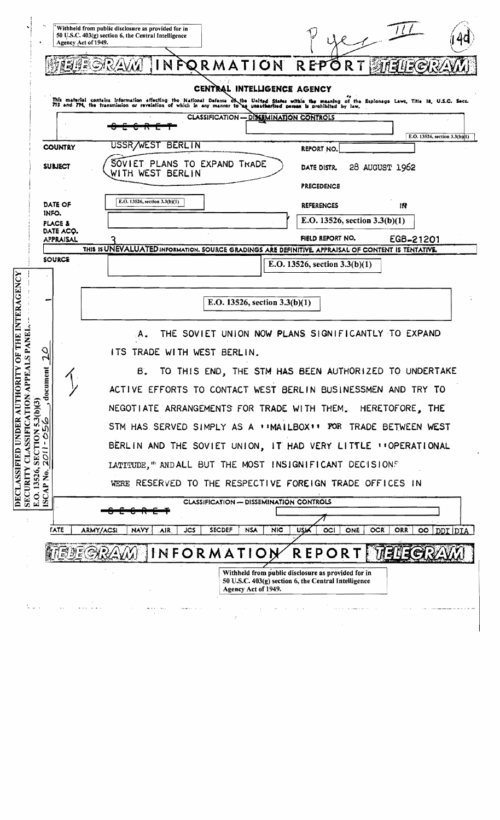|                                                                |              |                                 | Withheld from public disclosure as provided for in<br>50 U.S.C. 403(g) section 6, the Central Intelligence<br>Agency Act of 1949.<br>NFORMATION REPORT<br>383L<br>(C)                                                                                                                                             |
|----------------------------------------------------------------|--------------|---------------------------------|-------------------------------------------------------------------------------------------------------------------------------------------------------------------------------------------------------------------------------------------------------------------------------------------------------------------|
|                                                                |              |                                 | CENTRAL INTELLIGENCE AGENCY<br>This material contains information affecting the National Defense of the United States within the meaning of the Explonage Laws, Title 18, U.S.C. Secs.<br>793 and 794, the transmission or revelation of which in any manner to<br><b>CLASSIFICATION - DISSEMINATION CONTROLS</b> |
|                                                                |              |                                 | E.O. 13526, section 3.3(b)(1)                                                                                                                                                                                                                                                                                     |
|                                                                |              | <b>COUNTRY</b>                  | USSR/WEST<br><b>BERLIN</b><br>REPORT NO.                                                                                                                                                                                                                                                                          |
|                                                                |              | SUBJECT                         | SOVIET PLANS TO EXPAND TRADE<br>28 AUGUST 1962<br>DATE DISTR.<br>WITH WEST BERLIN<br><b>PRECEDENCE</b>                                                                                                                                                                                                            |
|                                                                | INFO.        | DATE OF                         | E.O. 13526, section 3.3(b)(1)<br><b>REFERENCES</b><br>114                                                                                                                                                                                                                                                         |
|                                                                |              | <b>PLACE &amp;</b><br>DATE ACQ. | E.O. 13526, section $3.3(b)(1)$                                                                                                                                                                                                                                                                                   |
|                                                                |              | <b>APPRAISAL</b>                | FIELD REPORT NO.<br>EGB-21201<br>THIS IS UNEVALUATED INFORMATION. SOURCE GRADINGS ARE DEFINITIVE. APPRAISAL OF CONTENT IS TENTATIVE.                                                                                                                                                                              |
|                                                                |              | <b>SOURCE</b>                   | E.O. 13526, section $3.3(b)(1)$                                                                                                                                                                                                                                                                                   |
|                                                                |              |                                 |                                                                                                                                                                                                                                                                                                                   |
| <b>TY OF THE INTERAGENCY</b>                                   |              |                                 | E.O. 13526, section 3.3(b)(1)                                                                                                                                                                                                                                                                                     |
| EALS PANEL.                                                    |              |                                 | THE SOVIET UNION NOW PLANS SIGNIFICANTLY TO EXPAND                                                                                                                                                                                                                                                                |
|                                                                |              |                                 | ITS.<br>TRADE WITH WEST BERLIN.                                                                                                                                                                                                                                                                                   |
|                                                                | ent          |                                 | Β.<br>TO THIS END, THE STM HAS BEEN AUTHORIZED TO UNDERTAKE                                                                                                                                                                                                                                                       |
| <b>CLASSIFICATION APP</b><br><b>DECLASSIFIED UNDER AUTHORI</b> | docum        |                                 | ACTIVE EFFORTS TO CONTACT WEST BERLIN BUSINESSMEN AND TRY TO                                                                                                                                                                                                                                                      |
| 5.3(b)(3)                                                      |              |                                 | NEGOTIATE ARRANGEMENTS FOR TRADE WITH THEM. HERETOFORE, THE                                                                                                                                                                                                                                                       |
|                                                                |              |                                 | STM HAS SERVED SIMPLY AS A <b>1 IMAILBOX11 FOR TRADE BETWEEN WEST</b>                                                                                                                                                                                                                                             |
|                                                                | $2011 - 05$  |                                 | BERLIN AND THE SOVIET UNION, IT HAD VERY LITTLE "CPERATIONAL                                                                                                                                                                                                                                                      |
|                                                                | ۰            |                                 | LATITUDE," AND ALL BUT THE MOST INSIGNIFICANT DECISIONS                                                                                                                                                                                                                                                           |
| <b>SECURITY</b><br>E.O. 13526,                                 | Ž<br>≏       |                                 | WERE RESERVED TO THE RESPECTIVE FOREIGN TRADE OFFICES IN                                                                                                                                                                                                                                                          |
|                                                                | <b>ISCAI</b> |                                 | <b>CLASSIFICATION - DISSEMINATION CONTROLS</b>                                                                                                                                                                                                                                                                    |
|                                                                |              | <b>FATE</b>                     | <b>SECDEF</b><br><b>NIC</b><br><b>USIK</b><br>ONE<br><b>OCR</b><br>ORR<br>DDI DIA<br>ARMY/ACSI<br><b>JCS</b><br><b>NSA</b><br><b>OCI</b><br>$\circ \circ$<br><b>NAVY</b><br>air                                                                                                                                   |
|                                                                |              |                                 | INFORMATION<br><b>REPORT MELLER</b><br><i>ΕΝΕΩΩΩΩ</i> Υ                                                                                                                                                                                                                                                           |
|                                                                |              |                                 | Withheld from public disclosure as provided for in<br>50 U.S.C. 403(g) section 6, the Central Intelligence<br>Agency Act of 1949.                                                                                                                                                                                 |
|                                                                |              |                                 |                                                                                                                                                                                                                                                                                                                   |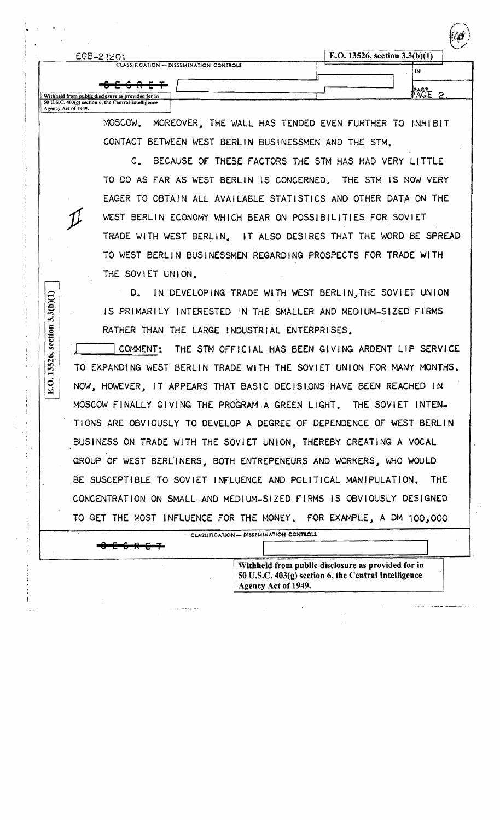| EGB-21201                                                                                         | E.O. 13526, section $3.3(b)(1)$ |    |  |
|---------------------------------------------------------------------------------------------------|---------------------------------|----|--|
| CLASSIFICATION - DISSEMINATION CONTROLS                                                           |                                 | IN |  |
| $\frac{1}{2}$<br><del>- - - - - - - -</del><br>Withheld from public disclosure as provided for in |                                 |    |  |

MOSCOW. MOREOVER, THE WALL HAS TENDED EVEN FURTHER TO INHIBIT CONTACT BETWEEN WEST BERLIN BUSINESSMEN AND THE STM.

C. BECAUSE OF THESE FACTORS THE STM HAS HAD VERY LITTLE TO DO AS FAR AS WEST BERLIN IS CONCERNED. THE STM IS NOW VERY EAGER TO OBTAIN ALL AVAILABLE STATISTICS AND OTHER DATA ON THE *)C!* WEST SERLIN ECONOMY WHicH BEAR ON POSSIBILITIES FOR SOVIET TRADE WITH WEST BERLIN. IT ALSO DESIRES THAT THE WORD BE SPREAD TO WEST BERLIN BUSINESSMEN REGARDING PROSPECTS FOR TRADE WITH THE SOVIET UNION.

D. IN DEVELOPING TRADE WITH WEST BERLIN, THE SOVIET UNION IS PRIMARILY INTERESTED IN THE SMALLER AND MEDIUM-SIZED FIRMS RATHER THAN THE LARGE INDUSTRIAL ENTERPRISES.

-

 $3.3(b)(1)$ 

Agency Act of 1949.

 $\boxed{\text{E.O.}}$ 

8 E 6 **RET** 

COMMENT: THE STM OFFICIAL HAS BEEN GIVING ARDENT LIP SERVICE TO EXPANDING WEST BERLIN TRADE WITH THE SOVIET UNION FOR MANY MONTHS. NOW, HOWEVER, IT APPEARS THAT BASIC DECISIONS HAVE BEEN REACHED IN MOSCOW FINALLY GIVING THE PROGRAM A GREEN LIGHT. THE SOVIET INTEN-TIONS ARE OBVIOUSLY TO DEVELOP A DEGREE OF DEPENDENCE OF WEST BERLIN BUSINESS ON TRADE WITH THE SOVIET UNION, THEREBY CREATING A VOCAL GROUP OF WEST BERLINERS, BOTH ENTREPENEURS AND WORKERS, WHO WOULD BE SUSCEPTIBLE TO SOVIET INFLUENCE AND POLITICAL MANIPULATION. THE CONCENTRATION ON SMALL·AND MEDIUM-SIZED FIRMS IS OBVIOUSLY DESIGNED TO GET THE MOST INFLUENCE FOR THE MONEY, FOR EXAMPLE, A DM 100,000

CLASSIFICATION - DISSEMINATION CONTROLS

Withheld from public disclosure as provided for in 50 U.S.C.  $403<sub>(2)</sub>$  section 6, the Central Intelligence • Agency Act of 1949.